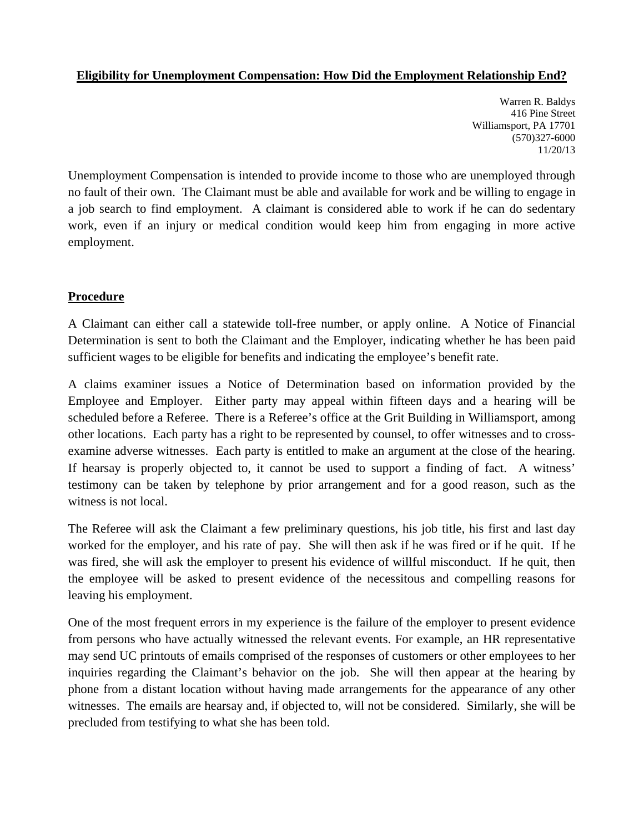### **Eligibility for Unemployment Compensation: How Did the Employment Relationship End?**

Warren R. Baldys 416 Pine Street Williamsport, PA 17701 (570)327-6000 11/20/13

Unemployment Compensation is intended to provide income to those who are unemployed through no fault of their own. The Claimant must be able and available for work and be willing to engage in a job search to find employment. A claimant is considered able to work if he can do sedentary work, even if an injury or medical condition would keep him from engaging in more active employment.

### **Procedure**

A Claimant can either call a statewide toll-free number, or apply online. A Notice of Financial Determination is sent to both the Claimant and the Employer, indicating whether he has been paid sufficient wages to be eligible for benefits and indicating the employee's benefit rate.

A claims examiner issues a Notice of Determination based on information provided by the Employee and Employer. Either party may appeal within fifteen days and a hearing will be scheduled before a Referee. There is a Referee's office at the Grit Building in Williamsport, among other locations. Each party has a right to be represented by counsel, to offer witnesses and to crossexamine adverse witnesses. Each party is entitled to make an argument at the close of the hearing. If hearsay is properly objected to, it cannot be used to support a finding of fact. A witness' testimony can be taken by telephone by prior arrangement and for a good reason, such as the witness is not local.

The Referee will ask the Claimant a few preliminary questions, his job title, his first and last day worked for the employer, and his rate of pay. She will then ask if he was fired or if he quit. If he was fired, she will ask the employer to present his evidence of willful misconduct. If he quit, then the employee will be asked to present evidence of the necessitous and compelling reasons for leaving his employment.

One of the most frequent errors in my experience is the failure of the employer to present evidence from persons who have actually witnessed the relevant events. For example, an HR representative may send UC printouts of emails comprised of the responses of customers or other employees to her inquiries regarding the Claimant's behavior on the job. She will then appear at the hearing by phone from a distant location without having made arrangements for the appearance of any other witnesses. The emails are hearsay and, if objected to, will not be considered. Similarly, she will be precluded from testifying to what she has been told.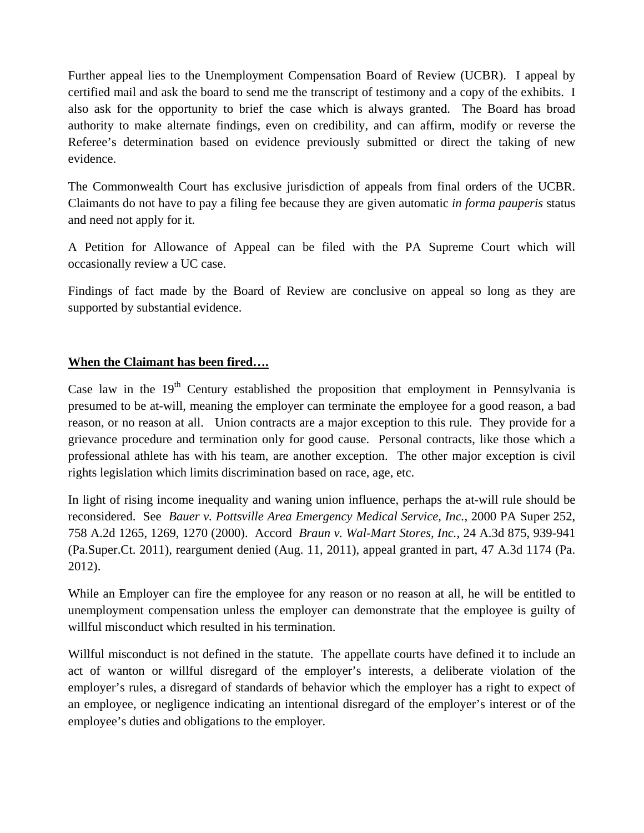Further appeal lies to the Unemployment Compensation Board of Review (UCBR). I appeal by certified mail and ask the board to send me the transcript of testimony and a copy of the exhibits. I also ask for the opportunity to brief the case which is always granted. The Board has broad authority to make alternate findings, even on credibility, and can affirm, modify or reverse the Referee's determination based on evidence previously submitted or direct the taking of new evidence.

The Commonwealth Court has exclusive jurisdiction of appeals from final orders of the UCBR. Claimants do not have to pay a filing fee because they are given automatic *in forma pauperis* status and need not apply for it.

A Petition for Allowance of Appeal can be filed with the PA Supreme Court which will occasionally review a UC case.

Findings of fact made by the Board of Review are conclusive on appeal so long as they are supported by substantial evidence.

### **When the Claimant has been fired….**

Case law in the  $19<sup>th</sup>$  Century established the proposition that employment in Pennsylvania is presumed to be at-will, meaning the employer can terminate the employee for a good reason, a bad reason, or no reason at all. Union contracts are a major exception to this rule. They provide for a grievance procedure and termination only for good cause. Personal contracts, like those which a professional athlete has with his team, are another exception. The other major exception is civil rights legislation which limits discrimination based on race, age, etc.

In light of rising income inequality and waning union influence, perhaps the at-will rule should be reconsidered. See *Bauer v. Pottsville Area Emergency Medical Service, Inc.,* 2000 PA Super 252, 758 A.2d 1265, 1269, 1270 (2000). Accord *Braun v. Wal-Mart Stores, Inc.,* 24 A.3d 875, 939-941 (Pa.Super.Ct. 2011), reargument denied (Aug. 11, 2011), appeal granted in part, 47 A.3d 1174 (Pa. 2012).

While an Employer can fire the employee for any reason or no reason at all, he will be entitled to unemployment compensation unless the employer can demonstrate that the employee is guilty of willful misconduct which resulted in his termination.

Willful misconduct is not defined in the statute. The appellate courts have defined it to include an act of wanton or willful disregard of the employer's interests, a deliberate violation of the employer's rules, a disregard of standards of behavior which the employer has a right to expect of an employee, or negligence indicating an intentional disregard of the employer's interest or of the employee's duties and obligations to the employer.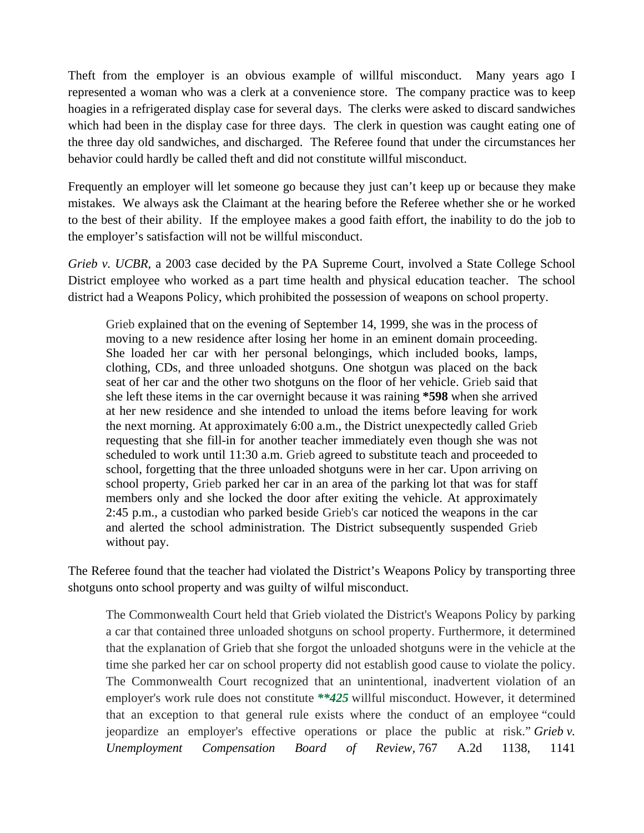Theft from the employer is an obvious example of willful misconduct. Many years ago I represented a woman who was a clerk at a convenience store. The company practice was to keep hoagies in a refrigerated display case for several days. The clerks were asked to discard sandwiches which had been in the display case for three days. The clerk in question was caught eating one of the three day old sandwiches, and discharged. The Referee found that under the circumstances her behavior could hardly be called theft and did not constitute willful misconduct.

Frequently an employer will let someone go because they just can't keep up or because they make mistakes. We always ask the Claimant at the hearing before the Referee whether she or he worked to the best of their ability. If the employee makes a good faith effort, the inability to do the job to the employer's satisfaction will not be willful misconduct.

*Grieb v. UCBR*, a 2003 case decided by the PA Supreme Court, involved a State College School District employee who worked as a part time health and physical education teacher. The school district had a Weapons Policy, which prohibited the possession of weapons on school property.

Grieb explained that on the evening of September 14, 1999, she was in the process of moving to a new residence after losing her home in an eminent domain proceeding. She loaded her car with her personal belongings, which included books, lamps, clothing, CDs, and three unloaded shotguns. One shotgun was placed on the back seat of her car and the other two shotguns on the floor of her vehicle. Grieb said that she left these items in the car overnight because it was raining **\*598** when she arrived at her new residence and she intended to unload the items before leaving for work the next morning. At approximately 6:00 a.m., the District unexpectedly called Grieb requesting that she fill-in for another teacher immediately even though she was not scheduled to work until 11:30 a.m. Grieb agreed to substitute teach and proceeded to school, forgetting that the three unloaded shotguns were in her car. Upon arriving on school property, Grieb parked her car in an area of the parking lot that was for staff members only and she locked the door after exiting the vehicle. At approximately 2:45 p.m., a custodian who parked beside Grieb's car noticed the weapons in the car and alerted the school administration. The District subsequently suspended Grieb without pay.

The Referee found that the teacher had violated the District's Weapons Policy by transporting three shotguns onto school property and was guilty of wilful misconduct.

The Commonwealth Court held that Grieb violated the District's Weapons Policy by parking a car that contained three unloaded shotguns on school property. Furthermore, it determined that the explanation of Grieb that she forgot the unloaded shotguns were in the vehicle at the time she parked her car on school property did not establish good cause to violate the policy. The Commonwealth Court recognized that an unintentional, inadvertent violation of an employer's work rule does not constitute *\*\*425* willful misconduct. However, it determined that an exception to that general rule exists where the conduct of an employee "could jeopardize an employer's effective operations or place the public at risk." *Grieb v. Unemployment Compensation Board of Review,* 767 A.2d 1138, 1141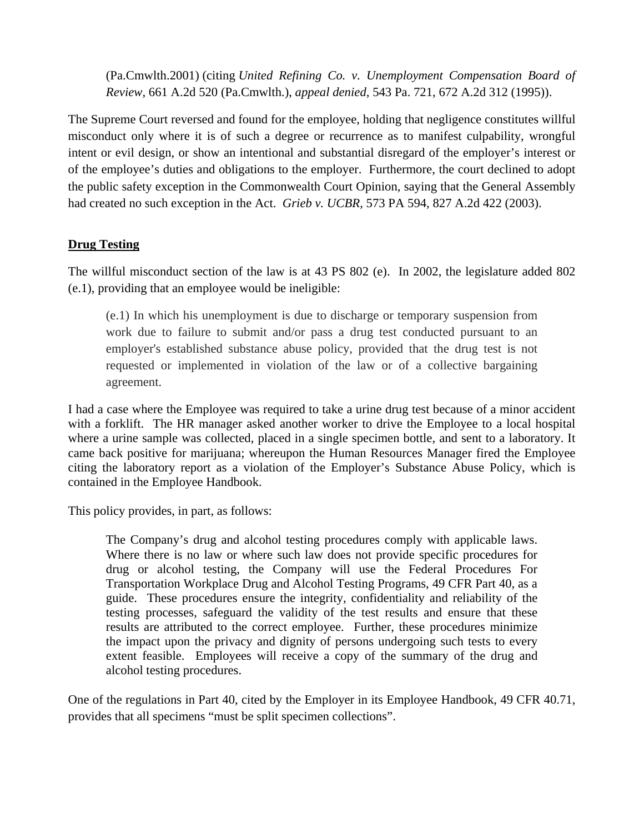(Pa.Cmwlth.2001) (citing *United Refining Co. v. Unemployment Compensation Board of Review,* 661 A.2d 520 (Pa.Cmwlth.), *appeal denied,* 543 Pa. 721, 672 A.2d 312 (1995)).

The Supreme Court reversed and found for the employee, holding that negligence constitutes willful misconduct only where it is of such a degree or recurrence as to manifest culpability, wrongful intent or evil design, or show an intentional and substantial disregard of the employer's interest or of the employee's duties and obligations to the employer. Furthermore, the court declined to adopt the public safety exception in the Commonwealth Court Opinion, saying that the General Assembly had created no such exception in the Act. *Grieb v. UCBR*, 573 PA 594, 827 A.2d 422 (2003).

### **Drug Testing**

The willful misconduct section of the law is at 43 PS 802 (e). In 2002, the legislature added 802 (e.1), providing that an employee would be ineligible:

(e.1) In which his unemployment is due to discharge or temporary suspension from work due to failure to submit and/or pass a drug test conducted pursuant to an employer's established substance abuse policy, provided that the drug test is not requested or implemented in violation of the law or of a collective bargaining agreement.

I had a case where the Employee was required to take a urine drug test because of a minor accident with a forklift. The HR manager asked another worker to drive the Employee to a local hospital where a urine sample was collected, placed in a single specimen bottle, and sent to a laboratory. It came back positive for marijuana; whereupon the Human Resources Manager fired the Employee citing the laboratory report as a violation of the Employer's Substance Abuse Policy, which is contained in the Employee Handbook.

This policy provides, in part, as follows:

The Company's drug and alcohol testing procedures comply with applicable laws. Where there is no law or where such law does not provide specific procedures for drug or alcohol testing, the Company will use the Federal Procedures For Transportation Workplace Drug and Alcohol Testing Programs, 49 CFR Part 40, as a guide. These procedures ensure the integrity, confidentiality and reliability of the testing processes, safeguard the validity of the test results and ensure that these results are attributed to the correct employee. Further, these procedures minimize the impact upon the privacy and dignity of persons undergoing such tests to every extent feasible. Employees will receive a copy of the summary of the drug and alcohol testing procedures.

One of the regulations in Part 40, cited by the Employer in its Employee Handbook, 49 CFR 40.71, provides that all specimens "must be split specimen collections".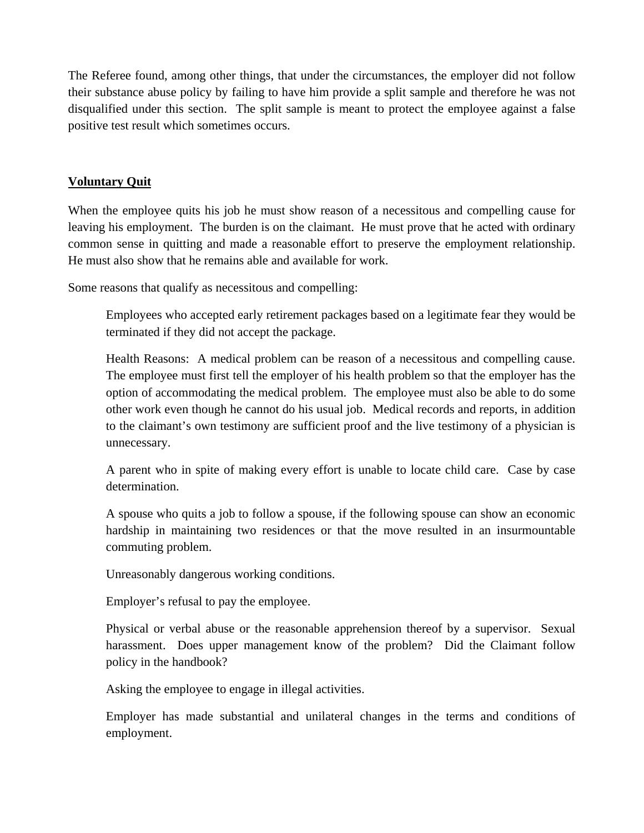The Referee found, among other things, that under the circumstances, the employer did not follow their substance abuse policy by failing to have him provide a split sample and therefore he was not disqualified under this section. The split sample is meant to protect the employee against a false positive test result which sometimes occurs.

### **Voluntary Quit**

When the employee quits his job he must show reason of a necessitous and compelling cause for leaving his employment. The burden is on the claimant. He must prove that he acted with ordinary common sense in quitting and made a reasonable effort to preserve the employment relationship. He must also show that he remains able and available for work.

Some reasons that qualify as necessitous and compelling:

Employees who accepted early retirement packages based on a legitimate fear they would be terminated if they did not accept the package.

Health Reasons: A medical problem can be reason of a necessitous and compelling cause. The employee must first tell the employer of his health problem so that the employer has the option of accommodating the medical problem. The employee must also be able to do some other work even though he cannot do his usual job. Medical records and reports, in addition to the claimant's own testimony are sufficient proof and the live testimony of a physician is unnecessary.

A parent who in spite of making every effort is unable to locate child care. Case by case determination.

A spouse who quits a job to follow a spouse, if the following spouse can show an economic hardship in maintaining two residences or that the move resulted in an insurmountable commuting problem.

Unreasonably dangerous working conditions.

Employer's refusal to pay the employee.

Physical or verbal abuse or the reasonable apprehension thereof by a supervisor. Sexual harassment. Does upper management know of the problem? Did the Claimant follow policy in the handbook?

Asking the employee to engage in illegal activities.

Employer has made substantial and unilateral changes in the terms and conditions of employment.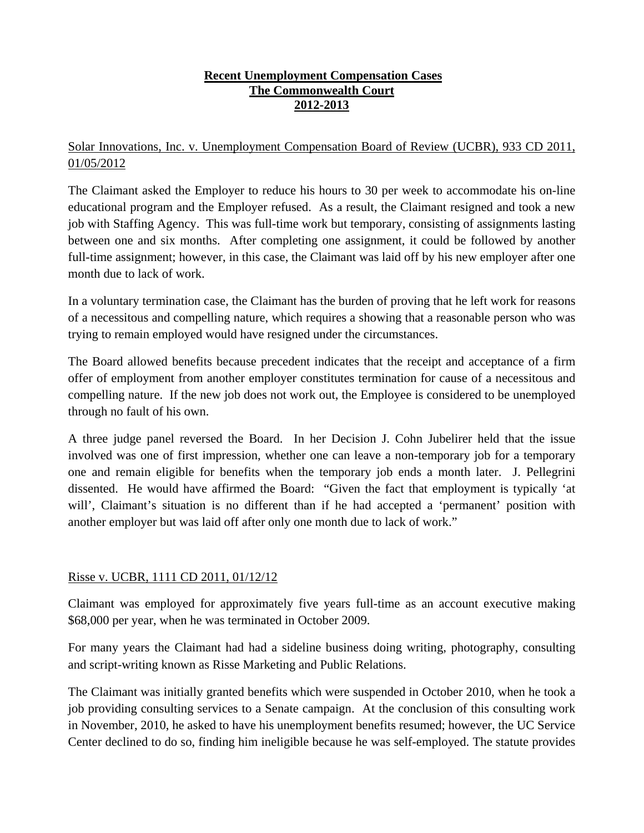### **Recent Unemployment Compensation Cases The Commonwealth Court 2012-2013**

# Solar Innovations, Inc. v. Unemployment Compensation Board of Review (UCBR), 933 CD 2011, 01/05/2012

The Claimant asked the Employer to reduce his hours to 30 per week to accommodate his on-line educational program and the Employer refused. As a result, the Claimant resigned and took a new job with Staffing Agency. This was full-time work but temporary, consisting of assignments lasting between one and six months. After completing one assignment, it could be followed by another full-time assignment; however, in this case, the Claimant was laid off by his new employer after one month due to lack of work.

In a voluntary termination case, the Claimant has the burden of proving that he left work for reasons of a necessitous and compelling nature, which requires a showing that a reasonable person who was trying to remain employed would have resigned under the circumstances.

The Board allowed benefits because precedent indicates that the receipt and acceptance of a firm offer of employment from another employer constitutes termination for cause of a necessitous and compelling nature. If the new job does not work out, the Employee is considered to be unemployed through no fault of his own.

A three judge panel reversed the Board. In her Decision J. Cohn Jubelirer held that the issue involved was one of first impression, whether one can leave a non-temporary job for a temporary one and remain eligible for benefits when the temporary job ends a month later. J. Pellegrini dissented. He would have affirmed the Board: "Given the fact that employment is typically 'at will', Claimant's situation is no different than if he had accepted a 'permanent' position with another employer but was laid off after only one month due to lack of work."

# Risse v. UCBR, 1111 CD 2011, 01/12/12

Claimant was employed for approximately five years full-time as an account executive making \$68,000 per year, when he was terminated in October 2009.

For many years the Claimant had had a sideline business doing writing, photography, consulting and script-writing known as Risse Marketing and Public Relations.

The Claimant was initially granted benefits which were suspended in October 2010, when he took a job providing consulting services to a Senate campaign. At the conclusion of this consulting work in November, 2010, he asked to have his unemployment benefits resumed; however, the UC Service Center declined to do so, finding him ineligible because he was self-employed. The statute provides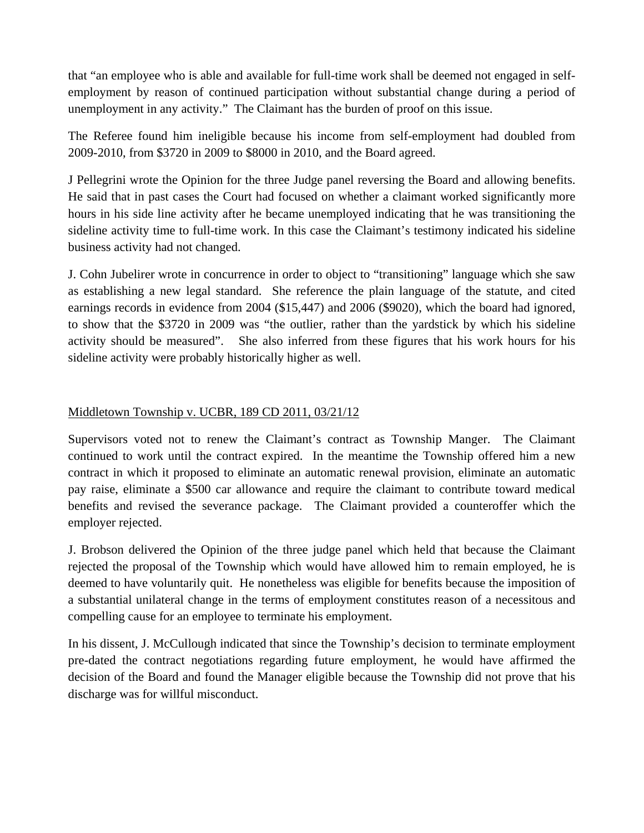that "an employee who is able and available for full-time work shall be deemed not engaged in selfemployment by reason of continued participation without substantial change during a period of unemployment in any activity." The Claimant has the burden of proof on this issue.

The Referee found him ineligible because his income from self-employment had doubled from 2009-2010, from \$3720 in 2009 to \$8000 in 2010, and the Board agreed.

J Pellegrini wrote the Opinion for the three Judge panel reversing the Board and allowing benefits. He said that in past cases the Court had focused on whether a claimant worked significantly more hours in his side line activity after he became unemployed indicating that he was transitioning the sideline activity time to full-time work. In this case the Claimant's testimony indicated his sideline business activity had not changed.

J. Cohn Jubelirer wrote in concurrence in order to object to "transitioning" language which she saw as establishing a new legal standard. She reference the plain language of the statute, and cited earnings records in evidence from 2004 (\$15,447) and 2006 (\$9020), which the board had ignored, to show that the \$3720 in 2009 was "the outlier, rather than the yardstick by which his sideline activity should be measured". She also inferred from these figures that his work hours for his sideline activity were probably historically higher as well.

### Middletown Township v. UCBR, 189 CD 2011, 03/21/12

Supervisors voted not to renew the Claimant's contract as Township Manger. The Claimant continued to work until the contract expired. In the meantime the Township offered him a new contract in which it proposed to eliminate an automatic renewal provision, eliminate an automatic pay raise, eliminate a \$500 car allowance and require the claimant to contribute toward medical benefits and revised the severance package. The Claimant provided a counteroffer which the employer rejected.

J. Brobson delivered the Opinion of the three judge panel which held that because the Claimant rejected the proposal of the Township which would have allowed him to remain employed, he is deemed to have voluntarily quit. He nonetheless was eligible for benefits because the imposition of a substantial unilateral change in the terms of employment constitutes reason of a necessitous and compelling cause for an employee to terminate his employment.

In his dissent, J. McCullough indicated that since the Township's decision to terminate employment pre-dated the contract negotiations regarding future employment, he would have affirmed the decision of the Board and found the Manager eligible because the Township did not prove that his discharge was for willful misconduct.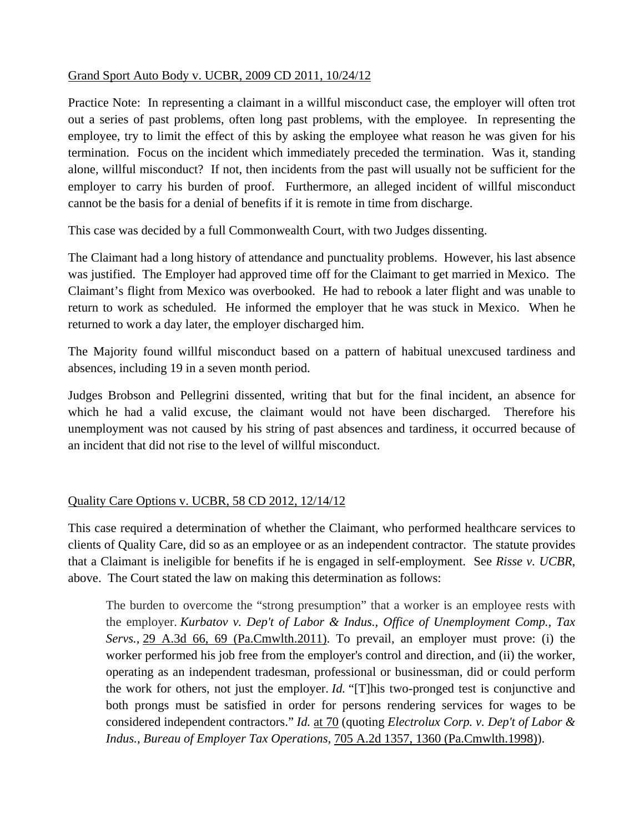### Grand Sport Auto Body v. UCBR, 2009 CD 2011, 10/24/12

Practice Note: In representing a claimant in a willful misconduct case, the employer will often trot out a series of past problems, often long past problems, with the employee. In representing the employee, try to limit the effect of this by asking the employee what reason he was given for his termination. Focus on the incident which immediately preceded the termination. Was it, standing alone, willful misconduct? If not, then incidents from the past will usually not be sufficient for the employer to carry his burden of proof. Furthermore, an alleged incident of willful misconduct cannot be the basis for a denial of benefits if it is remote in time from discharge.

This case was decided by a full Commonwealth Court, with two Judges dissenting.

The Claimant had a long history of attendance and punctuality problems. However, his last absence was justified. The Employer had approved time off for the Claimant to get married in Mexico. The Claimant's flight from Mexico was overbooked. He had to rebook a later flight and was unable to return to work as scheduled. He informed the employer that he was stuck in Mexico. When he returned to work a day later, the employer discharged him.

The Majority found willful misconduct based on a pattern of habitual unexcused tardiness and absences, including 19 in a seven month period.

Judges Brobson and Pellegrini dissented, writing that but for the final incident, an absence for which he had a valid excuse, the claimant would not have been discharged. Therefore his unemployment was not caused by his string of past absences and tardiness, it occurred because of an incident that did not rise to the level of willful misconduct.

# Quality Care Options v. UCBR, 58 CD 2012, 12/14/12

This case required a determination of whether the Claimant, who performed healthcare services to clients of Quality Care, did so as an employee or as an independent contractor. The statute provides that a Claimant is ineligible for benefits if he is engaged in self-employment. See *Risse v. UCBR*, above. The Court stated the law on making this determination as follows:

The burden to overcome the "strong presumption" that a worker is an employee rests with the employer. *Kurbatov v. Dep't of Labor & Indus., Office of Unemployment Comp., Tax Servs.,* 29 A.3d 66, 69 (Pa.Cmwlth.2011). To prevail, an employer must prove: (i) the worker performed his job free from the employer's control and direction, and (ii) the worker, operating as an independent tradesman, professional or businessman, did or could perform the work for others, not just the employer. *Id.* "[T]his two-pronged test is conjunctive and both prongs must be satisfied in order for persons rendering services for wages to be considered independent contractors." *Id.* at 70 (quoting *Electrolux Corp. v. Dep't of Labor & Indus., Bureau of Employer Tax Operations,* 705 A.2d 1357, 1360 (Pa.Cmwlth.1998)).